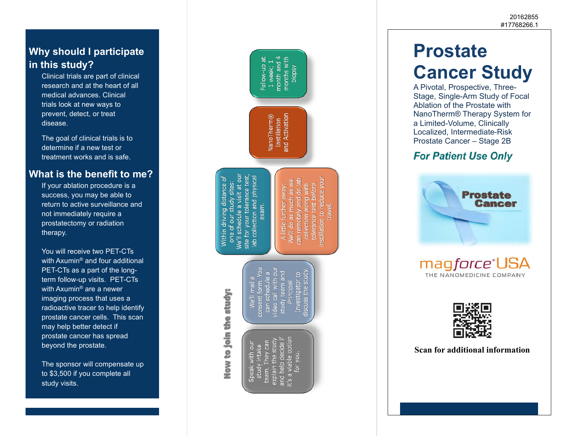#### **Why should I participate in this study?**

Clinical trials are part of clinical research and at the heart of all medical advances. Clinical trials look at new ways to prevent, detect, or treat disease.

The goal of clinical trials is to determine if a new test or treatment works and is safe.

#### **What is the benefit to me?**

If your ablation procedure is a success, you may be able to return to active surveillance and not immediately require a prostatectomy or radiation therapy.

You will receive two PET-CTs with Axumin ® and four additional PET-CTs as a part of the longterm follow-up visits. PET-CTs with Axumin ® are a newer imaging process that uses a radioactive tracer to help identify prostate cancer cells. This scan may help better detect if prostate cancer has spread beyond the prostate.

The sponsor will compensate up to \$3,500 if you complete all study visits.



# **Prostate Cancer Study**

A Pivotal, Prospective, Three-Stage, Single-Arm Study of Focal Ablation of the Prostate with NanoTherm® Therapy System for a Limited-Volume, Clinically Localized, Intermediate-Risk Prostate Cancer – Stage 2B

## **For Patient Use Only**





**Scan for additional information**